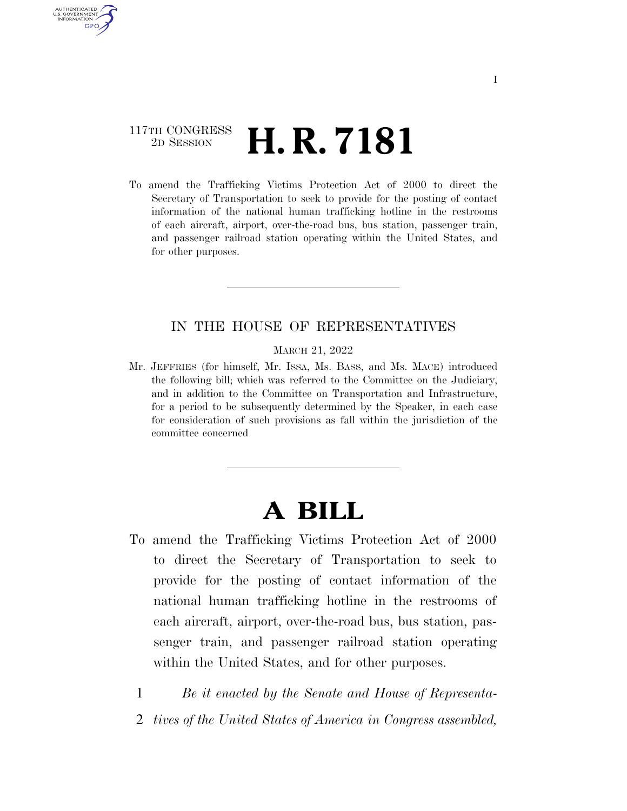### 117TH CONGRESS <sup>2D SESSION</sup> **H. R. 7181**

AUTHENTICATED U.S. GOVERNMENT **GPO** 

> To amend the Trafficking Victims Protection Act of 2000 to direct the Secretary of Transportation to seek to provide for the posting of contact information of the national human trafficking hotline in the restrooms of each aircraft, airport, over-the-road bus, bus station, passenger train, and passenger railroad station operating within the United States, and for other purposes.

### IN THE HOUSE OF REPRESENTATIVES

MARCH 21, 2022

Mr. JEFFRIES (for himself, Mr. ISSA, Ms. BASS, and Ms. MACE) introduced the following bill; which was referred to the Committee on the Judiciary, and in addition to the Committee on Transportation and Infrastructure, for a period to be subsequently determined by the Speaker, in each case for consideration of such provisions as fall within the jurisdiction of the committee concerned

# **A BILL**

To amend the Trafficking Victims Protection Act of 2000 to direct the Secretary of Transportation to seek to provide for the posting of contact information of the national human trafficking hotline in the restrooms of each aircraft, airport, over-the-road bus, bus station, passenger train, and passenger railroad station operating within the United States, and for other purposes.

1 *Be it enacted by the Senate and House of Representa-*

2 *tives of the United States of America in Congress assembled,*